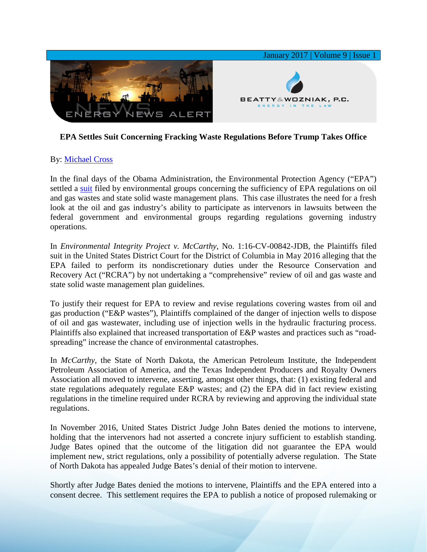

## **EPA Settles Suit Concerning Fracking Waste Regulations Before Trump Takes Office**

## By: [Michael Cross](http://www.bwenergylaw.com/michael-cross)

In the final days of the Obama Administration, the Environmental Protection Agency ("EPA") settled a [suit](http://environmentalintegrity.org/wp-content/uploads/2016-05-04-RCRA-OG-Wastes-Deadline-Suit-Complaint-FILED.pdf) filed by environmental groups concerning the sufficiency of EPA regulations on oil and gas wastes and state solid waste management plans. This case illustrates the need for a fresh look at the oil and gas industry's ability to participate as intervenors in lawsuits between the federal government and environmental groups regarding regulations governing industry operations.

In *Environmental Integrity Project v. McCarthy*, No. 1:16-CV-00842-JDB, the Plaintiffs filed suit in the United States District Court for the District of Columbia in May 2016 alleging that the EPA failed to perform its nondiscretionary duties under the Resource Conservation and Recovery Act ("RCRA") by not undertaking a "comprehensive" review of oil and gas waste and state solid waste management plan guidelines.

To justify their request for EPA to review and revise regulations covering wastes from oil and gas production ("E&P wastes"), Plaintiffs complained of the danger of injection wells to dispose of oil and gas wastewater, including use of injection wells in the hydraulic fracturing process. Plaintiffs also explained that increased transportation of E&P wastes and practices such as "roadspreading" increase the chance of environmental catastrophes.

In *McCarthy,* the State of North Dakota, the American Petroleum Institute, the Independent Petroleum Association of America, and the Texas Independent Producers and Royalty Owners Association all moved to intervene, asserting, amongst other things, that: (1) existing federal and state regulations adequately regulate E&P wastes; and (2) the EPA did in fact review existing regulations in the timeline required under RCRA by reviewing and approving the individual state regulations.

In November 2016, United States District Judge John Bates denied the motions to intervene, holding that the intervenors had not asserted a concrete injury sufficient to establish standing. Judge Bates opined that the outcome of the litigation did not guarantee the EPA would implement new, strict regulations, only a possibility of potentially adverse regulation. The State of North Dakota has appealed Judge Bates's denial of their motion to intervene.

Shortly after Judge Bates denied the motions to intervene, Plaintiffs and the EPA entered into a consent decree. This settlement requires the EPA to publish a notice of proposed rulemaking or